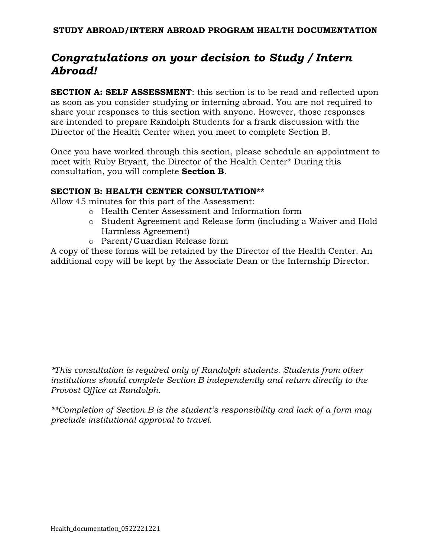# *Congratulations on your decision to Study / Intern Abroad!*

**SECTION A: SELF ASSESSMENT**: this section is to be read and reflected upon as soon as you consider studying or interning abroad. You are not required to share your responses to this section with anyone. However, those responses are intended to prepare Randolph Students for a frank discussion with the Director of the Health Center when you meet to complete Section B.

Once you have worked through this section, please schedule an appointment to meet with Ruby Bryant, the Director of the Health Center\* During this consultation, you will complete **Section B**.

#### **SECTION B: HEALTH CENTER CONSULTATION\*\***

Allow 45 minutes for this part of the Assessment:

- o Health Center Assessment and Information form
- o Student Agreement and Release form (including a Waiver and Hold Harmless Agreement)
- o Parent/Guardian Release form

A copy of these forms will be retained by the Director of the Health Center. An additional copy will be kept by the Associate Dean or the Internship Director.

*\*This consultation is required only of Randolph students. Students from other institutions should complete Section B independently and return directly to the Provost Office at Randolph.* 

*\*\*Completion of Section B is the student's responsibility and lack of a form may preclude institutional approval to travel.*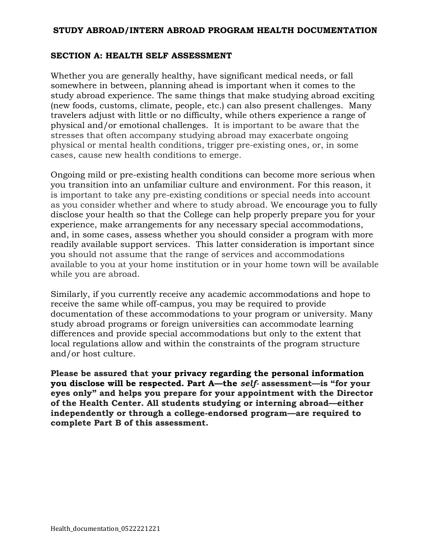## **SECTION A: HEALTH SELF ASSESSMENT**

Whether you are generally healthy, have significant medical needs, or fall somewhere in between, planning ahead is important when it comes to the study abroad experience. The same things that make studying abroad exciting (new foods, customs, climate, people, etc.) can also present challenges. Many travelers adjust with little or no difficulty, while others experience a range of physical and/or emotional challenges. It is important to be aware that the stresses that often accompany studying abroad may exacerbate ongoing physical or mental health conditions, trigger pre-existing ones, or, in some cases, cause new health conditions to emerge.

Ongoing mild or pre-existing health conditions can become more serious when you transition into an unfamiliar culture and environment. For this reason, it is important to take any pre-existing conditions or special needs into account as you consider whether and where to study abroad. We encourage you to fully disclose your health so that the College can help properly prepare you for your experience, make arrangements for any necessary special accommodations, and, in some cases, assess whether you should consider a program with more readily available support services. This latter consideration is important since you should not assume that the range of services and accommodations available to you at your home institution or in your home town will be available while you are abroad.

Similarly, if you currently receive any academic accommodations and hope to receive the same while off-campus, you may be required to provide documentation of these accommodations to your program or university. Many study abroad programs or foreign universities can accommodate learning differences and provide special accommodations but only to the extent that local regulations allow and within the constraints of the program structure and/or host culture.

**Please be assured that your privacy regarding the personal information you disclose will be respected. Part A—the** *self-* **assessment—is "for your eyes only" and helps you prepare for your appointment with the Director of the Health Center. All students studying or interning abroad—either independently or through a college-endorsed program—are required to complete Part B of this assessment.**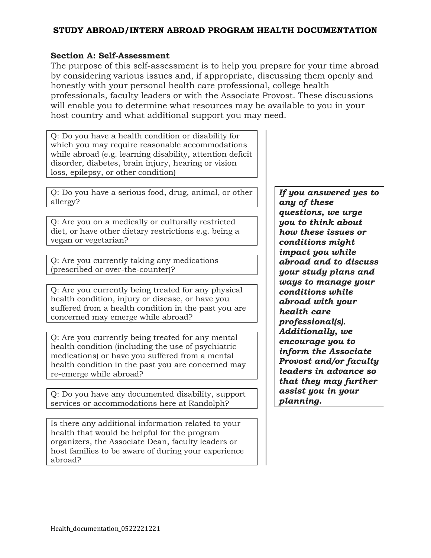# **Section A: Self-Assessment**

The purpose of this self-assessment is to help you prepare for your time abroad by considering various issues and, if appropriate, discussing them openly and honestly with your personal health care professional, college health professionals, faculty leaders or with the Associate Provost. These discussions will enable you to determine what resources may be available to you in your host country and what additional support you may need.

Q: Do you have a health condition or disability for which you may require reasonable accommodations while abroad (e.g. learning disability, attention deficit disorder, diabetes, brain injury, hearing or vision loss, epilepsy, or other condition)

Q: Do you have a serious food, drug, animal, or other allergy?

Q: Are you on a medically or culturally restricted diet, or have other dietary restrictions e.g. being a vegan or vegetarian?

Q: Are you currently taking any medications (prescribed or over-the-counter)?

Q: Are you currently being treated for any physical health condition, injury or disease, or have you suffered from a health condition in the past you are concerned may emerge while abroad?

Q: Are you currently being treated for any mental health condition (including the use of psychiatric medications) or have you suffered from a mental health condition in the past you are concerned may re-emerge while abroad?

Q: Do you have any documented disability, support services or accommodations here at Randolph?

Is there any additional information related to your health that would be helpful for the program organizers, the Associate Dean, faculty leaders or host families to be aware of during your experience abroad?

*If you answered yes to any of these questions, we urge you to think about how these issues or conditions might impact you while abroad and to discuss your study plans and ways to manage your conditions while abroad with your health care professional(s). Additionally, we encourage you to inform the Associate Provost and/or faculty leaders in advance so that they may further assist you in your planning.*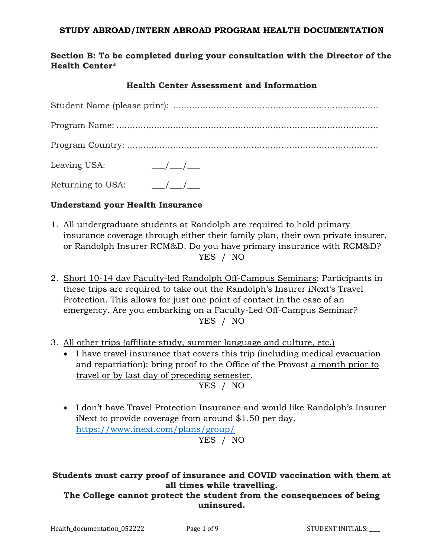# **Section B: To be completed during your consultation with the Director of the Health Center\***

# **Health Center Assessment and Information**

| Leaving USA:                                        | $\frac{1}{\sqrt{1-\frac{1}{2}}}$ |
|-----------------------------------------------------|----------------------------------|
| Returning to USA: $\frac{\frac{1}{2}}{\frac{1}{2}}$ |                                  |

#### **Understand your Health Insurance**

- 1. All undergraduate students at Randolph are required to hold primary insurance coverage through either their family plan, their own private insurer, or Randolph Insurer RCM&D. Do you have primary insurance with RCM&D? YES / NO
- 2. Short 10-14 day Faculty-led Randolph Off-Campus Seminars: Participants in these trips are required to take out the Randolph's Insurer iNext's Travel Protection. This allows for just one point of contact in the case of an emergency. Are you embarking on a Faculty-Led Off-Campus Seminar? YES / NO
- 3. All other trips (affiliate study, summer language and culture, etc.)
	- I have travel insurance that covers this trip (including medical evacuation and repatriation): bring proof to the Office of the Provost a month prior to travel or by last day of preceding semester. YES / NO
	- I don't have Travel Protection Insurance and would like Randolph's Insurer iNext to provide coverage from around \$1.50 per day. <https://www.inext.com/plans/group/> YES / NO

# **Students must carry proof of insurance and COVID vaccination with them at all times while travelling.**

**The College cannot protect the student from the consequences of being uninsured.**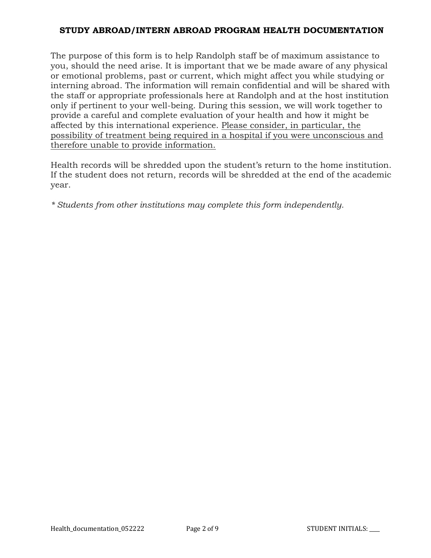The purpose of this form is to help Randolph staff be of maximum assistance to you, should the need arise. It is important that we be made aware of any physical or emotional problems, past or current, which might affect you while studying or interning abroad. The information will remain confidential and will be shared with the staff or appropriate professionals here at Randolph and at the host institution only if pertinent to your well-being. During this session, we will work together to provide a careful and complete evaluation of your health and how it might be affected by this international experience. Please consider, in particular, the possibility of treatment being required in a hospital if you were unconscious and therefore unable to provide information.

Health records will be shredded upon the student's return to the home institution. If the student does not return, records will be shredded at the end of the academic year.

*\* Students from other institutions may complete this form independently.*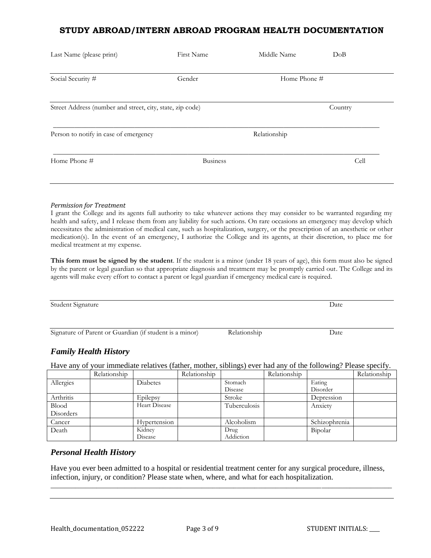| Last Name (please print)                                  | First Name      | Middle Name  | DoB     |  |  |
|-----------------------------------------------------------|-----------------|--------------|---------|--|--|
| Social Security #                                         | Gender          | Home Phone # |         |  |  |
| Street Address (number and street, city, state, zip code) |                 |              | Country |  |  |
| Person to notify in case of emergency                     |                 | Relationship |         |  |  |
| Home Phone #                                              | <b>Business</b> |              | Cell    |  |  |
|                                                           |                 |              |         |  |  |

#### *Permission for Treatment*

I grant the College and its agents full authority to take whatever actions they may consider to be warranted regarding my health and safety, and I release them from any liability for such actions. On rare occasions an emergency may develop which necessitates the administration of medical care, such as hospitalization, surgery, or the prescription of an anesthetic or other medication(s). In the event of an emergency, I authorize the College and its agents, at their discretion, to place me for medical treatment at my expense.

**This form must be signed by the student**. If the student is a minor (under 18 years of age), this form must also be signed by the parent or legal guardian so that appropriate diagnosis and treatment may be promptly carried out. The College and its agents will make every effort to contact a parent or legal guardian if emergency medical care is required.

Student Signature Date

Signature of Parent or Guardian (if student is a minor) Relationship Date

#### *Family Health History*

Have any of your immediate relatives (father, mother, siblings) ever had any of the following? Please specify.

|              | Relationship |                 | Relationship |              | Relationship |               | Relationship |
|--------------|--------------|-----------------|--------------|--------------|--------------|---------------|--------------|
| Allergies    |              | <b>Diabetes</b> |              | Stomach      |              | Eating        |              |
|              |              |                 |              | Disease      |              | Disorder      |              |
| Arthritis    |              | Epilepsy        |              | Stroke       |              | Depression    |              |
| <b>Blood</b> |              | Heart Disease   |              | Tuberculosis |              | Anxiety       |              |
| Disorders    |              |                 |              |              |              |               |              |
| Cancer       |              | Hypertension    |              | Alcoholism   |              | Schizophrenia |              |
| Death        |              | Kidney          |              | Drug         |              | Bipolar       |              |
|              |              | Disease         |              | Addiction    |              |               |              |

#### *Personal Health History*

Have you ever been admitted to a hospital or residential treatment center for any surgical procedure, illness, infection, injury, or condition? Please state when, where, and what for each hospitalization.

\_\_\_\_\_\_\_\_\_\_\_\_\_\_\_\_\_\_\_\_\_\_\_\_\_\_\_\_\_\_\_\_\_\_\_\_\_\_\_\_\_\_\_\_\_\_\_\_\_\_\_\_\_\_\_\_\_\_\_\_\_\_\_\_\_\_\_\_\_\_\_\_\_\_\_\_\_\_\_\_\_\_\_\_\_\_\_\_\_\_\_\_\_\_\_\_\_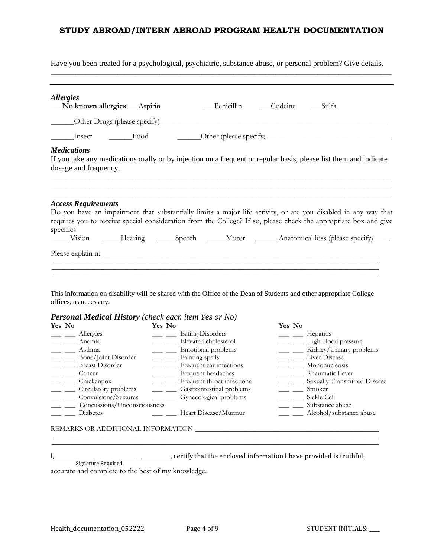Have you been treated for a psychological, psychiatric, substance abuse, or personal problem? Give details.  $\_$  ,  $\_$  ,  $\_$  ,  $\_$  ,  $\_$  ,  $\_$  ,  $\_$  ,  $\_$  ,  $\_$  ,  $\_$  ,  $\_$  ,  $\_$  ,  $\_$  ,  $\_$  ,  $\_$  ,  $\_$  ,  $\_$  ,  $\_$  ,  $\_$  ,  $\_$  ,  $\_$  ,  $\_$  ,  $\_$  ,  $\_$  ,  $\_$  ,  $\_$  ,  $\_$  ,  $\_$  ,  $\_$  ,  $\_$  ,  $\_$  ,  $\_$  ,  $\_$  ,  $\_$  ,  $\_$  ,  $\_$  ,  $\_$  ,

|                                |        |                                                             | Yes No |  |                                                                                                                                                                                                                                                                                                                                                                                                                                                                                                                                                                                                                                                                      |
|--------------------------------|--------|-------------------------------------------------------------|--------|--|----------------------------------------------------------------------------------------------------------------------------------------------------------------------------------------------------------------------------------------------------------------------------------------------------------------------------------------------------------------------------------------------------------------------------------------------------------------------------------------------------------------------------------------------------------------------------------------------------------------------------------------------------------------------|
| No known allergies ___ Aspirin | Yes No | <b>Personal Medical History</b> (check each item Yes or No) |        |  | Penicillin Codeine Sulfa<br>Insect <del>Legale</del> Food <b>Cher</b> (please specify)<br>If you take any medications orally or by injection on a frequent or regular basis, please list them and indicate<br>Do you have an impairment that substantially limits a major life activity, or are you disabled in any way that<br>requires you to receive special consideration from the College? If so, please check the appropriate box and give<br>Vision _____Hearing ______Speech ______Motor _______Anatomical loss (please specify)_____<br>This information on disability will be shared with the Office of the Dean of Students and other appropriate College |

| Yes No                      | Yes No                     | Yes No                       |
|-----------------------------|----------------------------|------------------------------|
| Allergies                   | <b>Eating Disorders</b>    | Hepatitis                    |
| Anemia                      | Elevated cholesterol       | High blood pressure          |
| Asthma                      | Emotional problems         | Kidney/Urinary problems      |
| Bone/Joint Disorder         | Fainting spells            | Liver Disease                |
| <b>Breast Disorder</b>      | Frequent ear infections    | Mononucleosis                |
| Cancer                      | Frequent headaches         | Rheumatic Fever              |
| Chickenpox                  | Frequent throat infections | Sexually Transmitted Disease |
| Circulatory problems        | Gastrointestinal problems  | Smoker                       |
| Convulsions/Seizures        | Gynecological problems     | Sickle Cell                  |
| Concussions/Unconsciousness |                            | Substance abuse              |
| <b>Diabetes</b>             | Heart Disease/Murmur       | Alcohol/substance abuse      |
|                             |                            |                              |

\_\_\_\_\_\_\_\_\_\_\_\_\_\_\_\_\_\_\_\_\_\_\_\_\_\_\_\_\_\_\_\_\_\_\_\_\_\_\_\_\_\_\_\_\_\_\_\_\_\_\_\_\_\_\_\_\_\_\_\_\_\_\_\_\_\_\_\_\_\_\_\_\_\_\_\_\_\_\_\_\_\_\_\_\_\_\_\_\_\_\_\_\_\_\_\_\_\_\_\_\_\_\_\_\_\_\_\_\_\_\_\_\_\_ \_\_\_\_\_\_\_\_\_\_\_\_\_\_\_\_\_\_\_\_\_\_\_\_\_\_\_\_\_\_\_\_\_\_\_\_\_\_\_\_\_\_\_\_\_\_\_\_\_\_\_\_\_\_\_\_\_\_\_\_\_\_\_\_\_\_\_\_\_\_\_\_\_\_\_\_\_\_\_\_\_\_\_\_\_\_\_\_\_\_\_\_\_\_\_\_\_\_\_\_\_\_\_\_\_\_\_\_\_\_\_\_\_\_

# REMARKS OR ADDITIONAL INFORMATION \_\_\_\_\_\_\_\_\_\_\_\_\_\_\_\_\_\_\_\_\_\_\_\_\_\_\_\_\_\_\_\_\_\_\_\_\_\_\_\_\_\_\_\_\_\_\_\_\_\_\_\_\_\_\_\_\_\_\_\_\_\_\_\_

I, \_\_\_\_\_\_\_\_\_\_\_\_\_\_\_\_\_\_\_\_\_\_\_\_\_\_\_\_\_\_\_\_\_\_\_\_\_\_\_\_\_\_\_\_, certify that the enclosed information I have provided is truthful,

Signature Required accurate and complete to the best of my knowledge.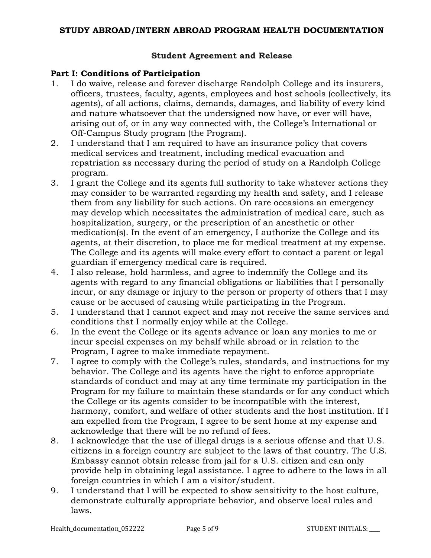# **Student Agreement and Release**

# **Part I: Conditions of Participation**

- 1. I do waive, release and forever discharge Randolph College and its insurers, officers, trustees, faculty, agents, employees and host schools (collectively, its agents), of all actions, claims, demands, damages, and liability of every kind and nature whatsoever that the undersigned now have, or ever will have, arising out of, or in any way connected with, the College's International or Off-Campus Study program (the Program).
- 2. I understand that I am required to have an insurance policy that covers medical services and treatment, including medical evacuation and repatriation as necessary during the period of study on a Randolph College program.
- 3. I grant the College and its agents full authority to take whatever actions they may consider to be warranted regarding my health and safety, and I release them from any liability for such actions. On rare occasions an emergency may develop which necessitates the administration of medical care, such as hospitalization, surgery, or the prescription of an anesthetic or other medication(s). In the event of an emergency, I authorize the College and its agents, at their discretion, to place me for medical treatment at my expense. The College and its agents will make every effort to contact a parent or legal guardian if emergency medical care is required.
- 4. I also release, hold harmless, and agree to indemnify the College and its agents with regard to any financial obligations or liabilities that I personally incur, or any damage or injury to the person or property of others that I may cause or be accused of causing while participating in the Program.
- 5. I understand that I cannot expect and may not receive the same services and conditions that I normally enjoy while at the College.
- 6. In the event the College or its agents advance or loan any monies to me or incur special expenses on my behalf while abroad or in relation to the Program, I agree to make immediate repayment.
- 7. I agree to comply with the College's rules, standards, and instructions for my behavior. The College and its agents have the right to enforce appropriate standards of conduct and may at any time terminate my participation in the Program for my failure to maintain these standards or for any conduct which the College or its agents consider to be incompatible with the interest, harmony, comfort, and welfare of other students and the host institution. If I am expelled from the Program, I agree to be sent home at my expense and acknowledge that there will be no refund of fees.
- 8. I acknowledge that the use of illegal drugs is a serious offense and that U.S. citizens in a foreign country are subject to the laws of that country. The U.S. Embassy cannot obtain release from jail for a U.S. citizen and can only provide help in obtaining legal assistance. I agree to adhere to the laws in all foreign countries in which I am a visitor/student.
- 9. I understand that I will be expected to show sensitivity to the host culture, demonstrate culturally appropriate behavior, and observe local rules and laws.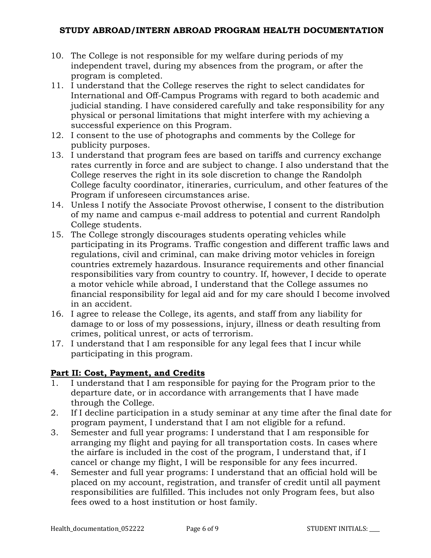- 10. The College is not responsible for my welfare during periods of my independent travel, during my absences from the program, or after the program is completed.
- 11. I understand that the College reserves the right to select candidates for International and Off-Campus Programs with regard to both academic and judicial standing. I have considered carefully and take responsibility for any physical or personal limitations that might interfere with my achieving a successful experience on this Program.
- 12. I consent to the use of photographs and comments by the College for publicity purposes.
- 13. I understand that program fees are based on tariffs and currency exchange rates currently in force and are subject to change. I also understand that the College reserves the right in its sole discretion to change the Randolph College faculty coordinator, itineraries, curriculum, and other features of the Program if unforeseen circumstances arise.
- 14. Unless I notify the Associate Provost otherwise, I consent to the distribution of my name and campus e-mail address to potential and current Randolph College students.
- 15. The College strongly discourages students operating vehicles while participating in its Programs. Traffic congestion and different traffic laws and regulations, civil and criminal, can make driving motor vehicles in foreign countries extremely hazardous. Insurance requirements and other financial responsibilities vary from country to country. If, however, I decide to operate a motor vehicle while abroad, I understand that the College assumes no financial responsibility for legal aid and for my care should I become involved in an accident.
- 16. I agree to release the College, its agents, and staff from any liability for damage to or loss of my possessions, injury, illness or death resulting from crimes, political unrest, or acts of terrorism.
- 17. I understand that I am responsible for any legal fees that I incur while participating in this program.

# **Part II: Cost, Payment, and Credits**

- 1. I understand that I am responsible for paying for the Program prior to the departure date, or in accordance with arrangements that I have made through the College.
- 2. If I decline participation in a study seminar at any time after the final date for program payment, I understand that I am not eligible for a refund.
- 3. Semester and full year programs: I understand that I am responsible for arranging my flight and paying for all transportation costs. In cases where the airfare is included in the cost of the program, I understand that, if I cancel or change my flight, I will be responsible for any fees incurred.
- 4. Semester and full year programs: I understand that an official hold will be placed on my account, registration, and transfer of credit until all payment responsibilities are fulfilled. This includes not only Program fees, but also fees owed to a host institution or host family.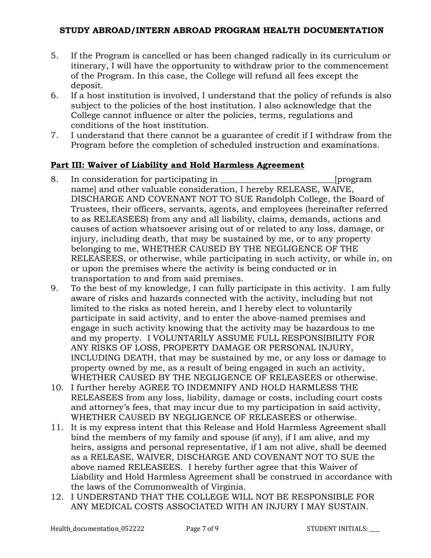- 5. If the Program is cancelled or has been changed radically in its curriculum or itinerary, I will have the opportunity to withdraw prior to the commencement of the Program. In this case, the College will refund all fees except the deposit.
- 6. If a host institution is involved, I understand that the policy of refunds is also subject to the policies of the host institution. I also acknowledge that the College cannot influence or alter the policies, terms, regulations and conditions of the host institution.
- 7. I understand that there cannot be a guarantee of credit if I withdraw from the Program before the completion of scheduled instruction and examinations.

# **Part III: Waiver of Liability and Hold Harmless Agreement**

- 8. In consideration for participating in \_\_\_\_\_\_\_\_\_\_\_\_\_\_\_\_\_\_\_\_\_\_\_\_\_\_\_[program name] and other valuable consideration, I hereby RELEASE, WAIVE, DISCHARGE AND COVENANT NOT TO SUE Randolph College, the Board of Trustees, their officers, servants, agents, and employees (hereinafter referred to as RELEASEES) from any and all liability, claims, demands, actions and causes of action whatsoever arising out of or related to any loss, damage, or injury, including death, that may be sustained by me, or to any property belonging to me, WHETHER CAUSED BY THE NEGLIGENCE OF THE RELEASEES, or otherwise, while participating in such activity, or while in, on or upon the premises where the activity is being conducted or in transportation to and from said premises.
- 9. To the best of my knowledge, I can fully participate in this activity. I am fully aware of risks and hazards connected with the activity, including but not limited to the risks as noted herein, and I hereby elect to voluntarily participate in said activity, and to enter the above-named premises and engage in such activity knowing that the activity may be hazardous to me and my property. I VOLUNTARILY ASSUME FULL RESPONSIBILITY FOR ANY RISKS OF LOSS, PROPERTY DAMAGE OR PERSONAL INJURY, INCLUDING DEATH, that may be sustained by me, or any loss or damage to property owned by me, as a result of being engaged in such an activity, WHETHER CAUSED BY THE NEGLIGENCE OF RELEASEES or otherwise.
- 10. I further hereby AGREE TO INDEMNIFY AND HOLD HARMLESS THE RELEASEES from any loss, liability, damage or costs, including court costs and attorney's fees, that may incur due to my participation in said activity, WHETHER CAUSED BY NEGLIGENCE OF RELEASEES or otherwise.
- 11. It is my express intent that this Release and Hold Harmless Agreement shall bind the members of my family and spouse (if any), if I am alive, and my heirs, assigns and personal representative, if I am not alive, shall be deemed as a RELEASE, WAIVER, DISCHARGE AND COVENANT NOT TO SUE the above named RELEASEES. I hereby further agree that this Waiver of Liability and Hold Harmless Agreement shall be construed in accordance with the laws of the Commonwealth of Virginia.
- 12. I UNDERSTAND THAT THE COLLEGE WILL NOT BE RESPONSIBLE FOR ANY MEDICAL COSTS ASSOCIATED WITH AN INJURY I MAY SUSTAIN.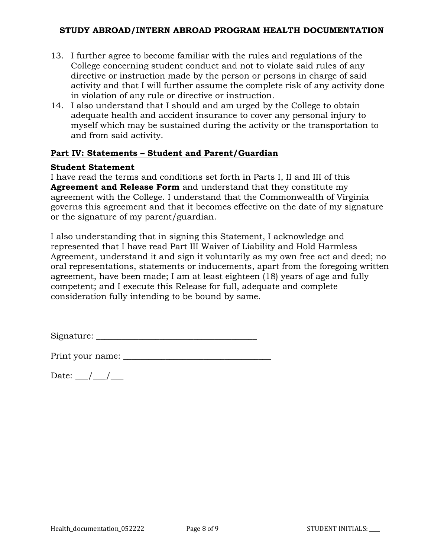- 13. I further agree to become familiar with the rules and regulations of the College concerning student conduct and not to violate said rules of any directive or instruction made by the person or persons in charge of said activity and that I will further assume the complete risk of any activity done in violation of any rule or directive or instruction.
- 14. I also understand that I should and am urged by the College to obtain adequate health and accident insurance to cover any personal injury to myself which may be sustained during the activity or the transportation to and from said activity.

#### **Part IV: Statements – Student and Parent/Guardian**

#### **Student Statement**

I have read the terms and conditions set forth in Parts I, II and III of this **Agreement and Release Form** and understand that they constitute my agreement with the College. I understand that the Commonwealth of Virginia governs this agreement and that it becomes effective on the date of my signature or the signature of my parent/guardian.

I also understanding that in signing this Statement, I acknowledge and represented that I have read Part III Waiver of Liability and Hold Harmless Agreement, understand it and sign it voluntarily as my own free act and deed; no oral representations, statements or inducements, apart from the foregoing written agreement, have been made; I am at least eighteen (18) years of age and fully competent; and I execute this Release for full, adequate and complete consideration fully intending to be bound by same.

Signature: \_\_\_\_\_\_\_\_\_\_\_\_\_\_\_\_\_\_\_\_\_\_\_\_\_\_\_\_\_\_\_\_\_\_\_\_\_\_

Print your name: \_\_\_\_\_\_\_\_\_\_\_\_\_\_\_\_\_\_\_\_\_\_\_\_\_\_\_\_\_\_\_\_\_\_\_

Date:  $\angle$  /  $\angle$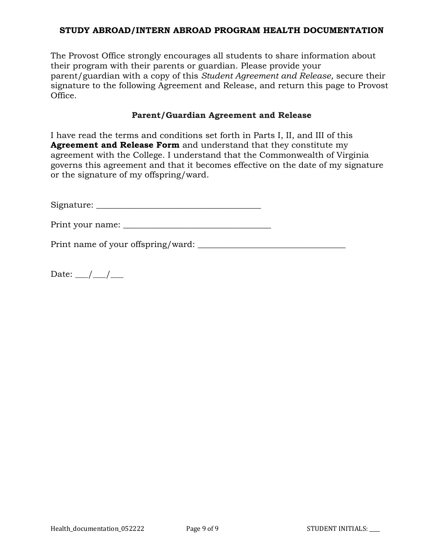The Provost Office strongly encourages all students to share information about their program with their parents or guardian. Please provide your parent/guardian with a copy of this *Student Agreement and Release,* secure their signature to the following Agreement and Release, and return this page to Provost Office.

#### **Parent/Guardian Agreement and Release**

I have read the terms and conditions set forth in Parts I, II, and III of this **Agreement and Release Form** and understand that they constitute my agreement with the College. I understand that the Commonwealth of Virginia governs this agreement and that it becomes effective on the date of my signature or the signature of my offspring/ward.

Signature: \_\_\_\_\_\_\_\_\_\_\_\_\_\_\_\_\_\_\_\_\_\_\_\_\_\_\_\_\_\_\_\_\_\_\_\_\_\_\_

Print your name: \_\_\_\_\_\_\_\_\_\_\_\_\_\_\_\_\_\_\_\_\_\_\_\_\_\_\_\_\_\_\_\_\_\_\_

Print name of your offspring/ward:

Date:  $\angle$